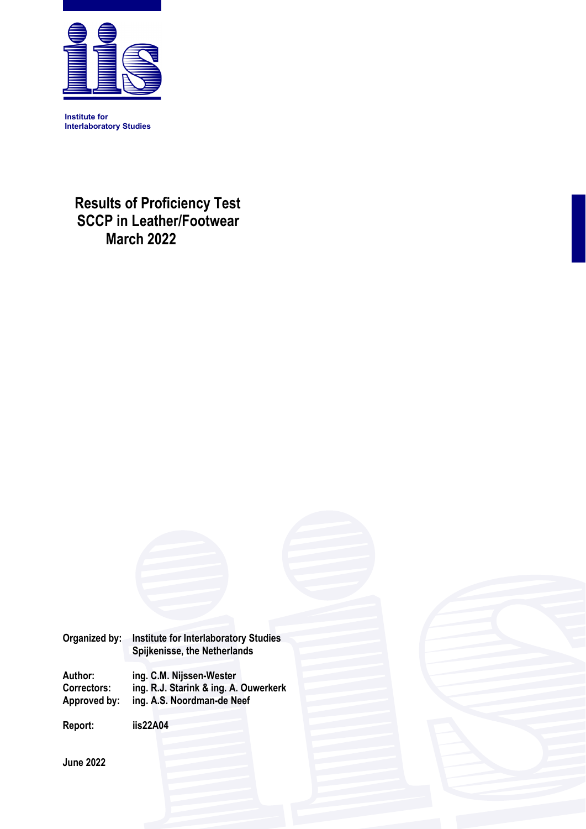

**Institute for Interlaboratory Studies** 

# **Results of Proficiency Test SCCP in Leather/Footwear March 2022**

|         | Organized by: Institute for Interlaboratory Studies<br>Spijkenisse, the Netherlands |  |  |  |  |
|---------|-------------------------------------------------------------------------------------|--|--|--|--|
| Author: | ing. C.M. Nijssen-Wester                                                            |  |  |  |  |

**Correctors: ing. R.J. Starink & ing. A. Ouwerkerk Approved by: ing. A.S. Noordman-de Neef** 

**Report: iis22A04** 

**June 2022**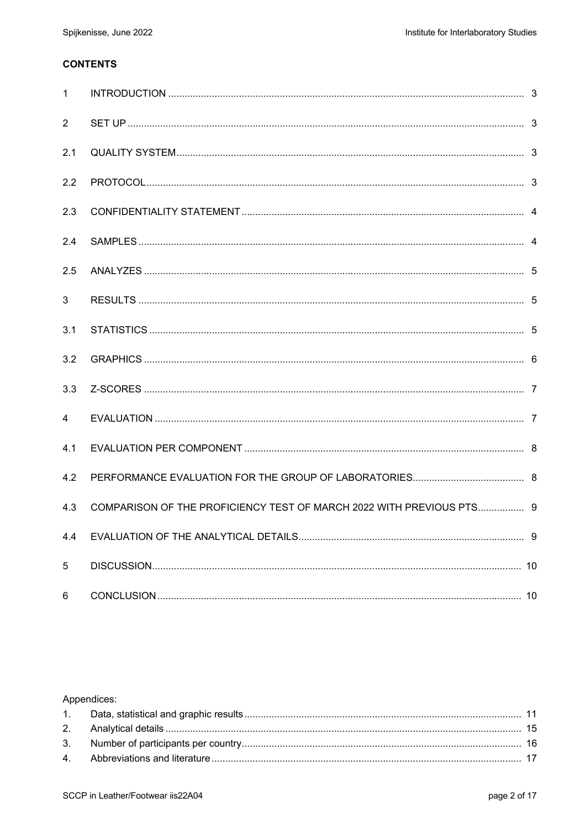# **CONTENTS**

| $\mathbf{1}$   |                                                                      |  |
|----------------|----------------------------------------------------------------------|--|
| $\overline{2}$ |                                                                      |  |
| 2.1            |                                                                      |  |
| 2.2            |                                                                      |  |
| 2.3            |                                                                      |  |
| 2.4            |                                                                      |  |
| 2.5            |                                                                      |  |
| 3              |                                                                      |  |
| 3.1            |                                                                      |  |
| 3.2            |                                                                      |  |
| 3.3            |                                                                      |  |
| $\overline{4}$ |                                                                      |  |
| 4.1            |                                                                      |  |
| 4.2            |                                                                      |  |
| 4.3            | COMPARISON OF THE PROFICIENCY TEST OF MARCH 2022 WITH PREVIOUS PTS 9 |  |
| 4.4            |                                                                      |  |
| 5              |                                                                      |  |
| 6              |                                                                      |  |

# Appendices: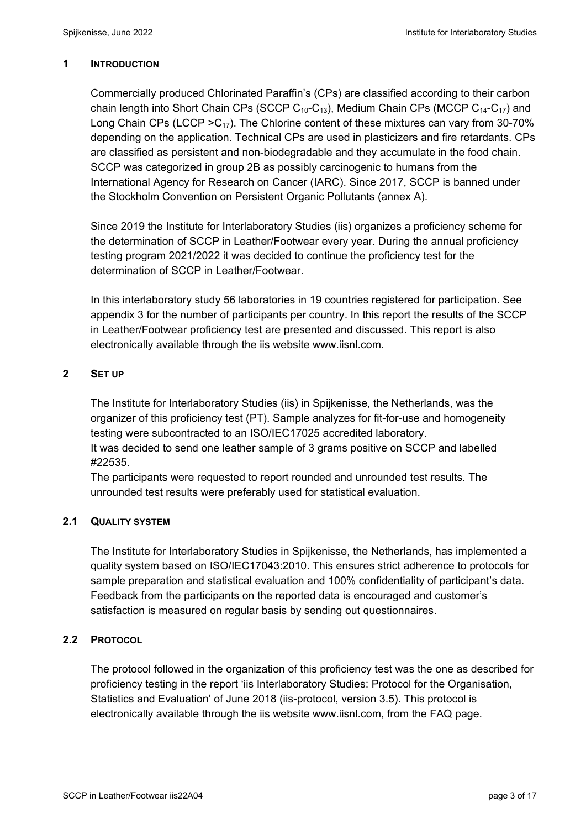## **1 INTRODUCTION**

Commercially produced Chlorinated Paraffin's (CPs) are classified according to their carbon chain length into Short Chain CPs (SCCP  $C_{10}$ - $C_{13}$ ), Medium Chain CPs (MCCP  $C_{14}$ - $C_{17}$ ) and Long Chain CPs (LCCP  $>$ C<sub>17</sub>). The Chlorine content of these mixtures can vary from 30-70% depending on the application. Technical CPs are used in plasticizers and fire retardants. CPs are classified as persistent and non-biodegradable and they accumulate in the food chain. SCCP was categorized in group 2B as possibly carcinogenic to humans from the International Agency for Research on Cancer (IARC). Since 2017, SCCP is banned under the Stockholm Convention on Persistent Organic Pollutants (annex A).

Since 2019 the Institute for Interlaboratory Studies (iis) organizes a proficiency scheme for the determination of SCCP in Leather/Footwear every year. During the annual proficiency testing program 2021/2022 it was decided to continue the proficiency test for the determination of SCCP in Leather/Footwear.

In this interlaboratory study 56 laboratories in 19 countries registered for participation. See appendix 3 for the number of participants per country. In this report the results of the SCCP in Leather/Footwear proficiency test are presented and discussed. This report is also electronically available through the iis website www.iisnl.com.

## **2 SET UP**

The Institute for Interlaboratory Studies (iis) in Spijkenisse, the Netherlands, was the organizer of this proficiency test (PT). Sample analyzes for fit-for-use and homogeneity testing were subcontracted to an ISO/IEC17025 accredited laboratory. It was decided to send one leather sample of 3 grams positive on SCCP and labelled #22535.

The participants were requested to report rounded and unrounded test results. The unrounded test results were preferably used for statistical evaluation.

## **2.1 QUALITY SYSTEM**

The Institute for Interlaboratory Studies in Spijkenisse, the Netherlands, has implemented a quality system based on ISO/IEC17043:2010. This ensures strict adherence to protocols for sample preparation and statistical evaluation and 100% confidentiality of participant's data. Feedback from the participants on the reported data is encouraged and customer's satisfaction is measured on regular basis by sending out questionnaires.

# **2.2 PROTOCOL**

The protocol followed in the organization of this proficiency test was the one as described for proficiency testing in the report 'iis Interlaboratory Studies: Protocol for the Organisation, Statistics and Evaluation' of June 2018 (iis-protocol, version 3.5). This protocol is electronically available through the iis website www.iisnl.com, from the FAQ page.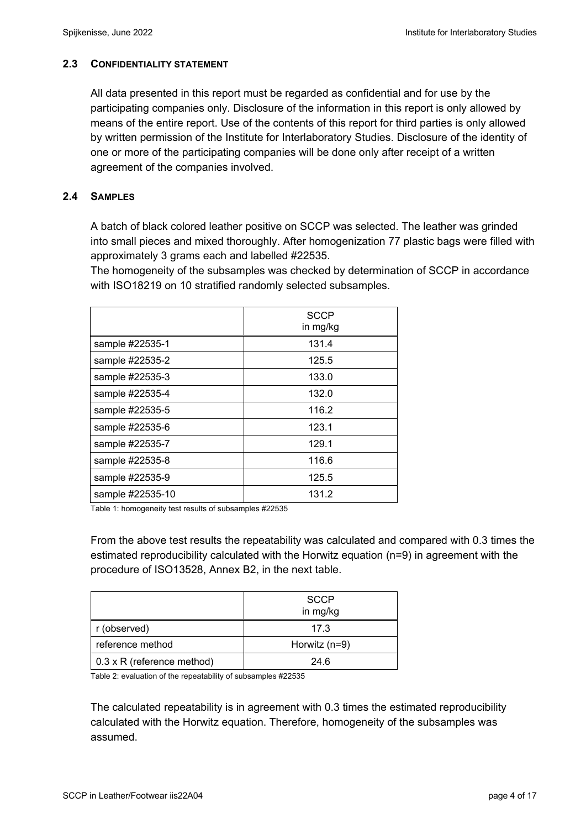## **2.3 CONFIDENTIALITY STATEMENT**

All data presented in this report must be regarded as confidential and for use by the participating companies only. Disclosure of the information in this report is only allowed by means of the entire report. Use of the contents of this report for third parties is only allowed by written permission of the Institute for Interlaboratory Studies. Disclosure of the identity of one or more of the participating companies will be done only after receipt of a written agreement of the companies involved.

## **2.4 SAMPLES**

A batch of black colored leather positive on SCCP was selected. The leather was grinded into small pieces and mixed thoroughly. After homogenization 77 plastic bags were filled with approximately 3 grams each and labelled #22535.

The homogeneity of the subsamples was checked by determination of SCCP in accordance with ISO18219 on 10 stratified randomly selected subsamples.

|                  | <b>SCCP</b><br>in mg/kg |
|------------------|-------------------------|
| sample #22535-1  | 131.4                   |
| sample #22535-2  | 125.5                   |
| sample #22535-3  | 133.0                   |
| sample #22535-4  | 132.0                   |
| sample #22535-5  | 116.2                   |
| sample #22535-6  | 123.1                   |
| sample #22535-7  | 129.1                   |
| sample #22535-8  | 116.6                   |
| sample #22535-9  | 125.5                   |
| sample #22535-10 | 131.2                   |

Table 1: homogeneity test results of subsamples #22535

From the above test results the repeatability was calculated and compared with 0.3 times the estimated reproducibility calculated with the Horwitz equation (n=9) in agreement with the procedure of ISO13528, Annex B2, in the next table.

|                                   | <b>SCCP</b><br>in mg/kg |
|-----------------------------------|-------------------------|
| r (observed)                      | 17.3                    |
| reference method                  | Horwitz $(n=9)$         |
| $0.3 \times R$ (reference method) | 24.6                    |

Table 2: evaluation of the repeatability of subsamples #22535

The calculated repeatability is in agreement with 0.3 times the estimated reproducibility calculated with the Horwitz equation. Therefore, homogeneity of the subsamples was assumed.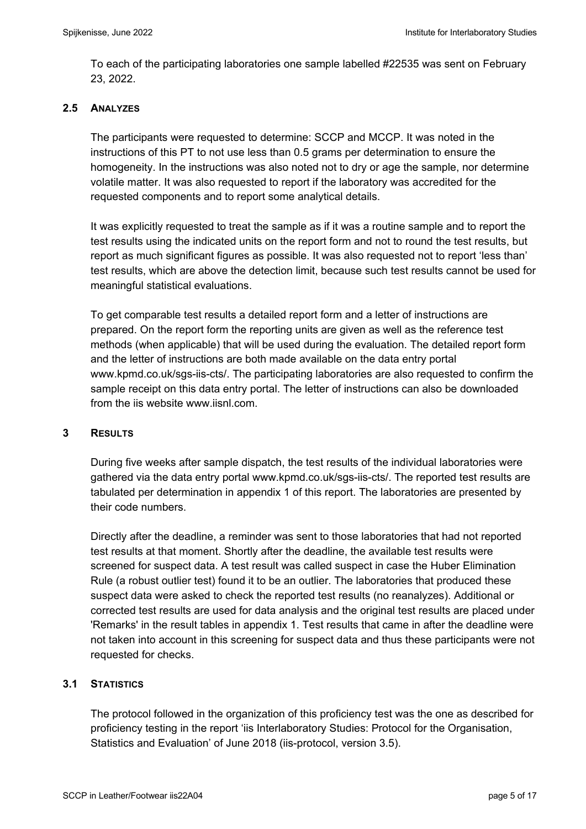To each of the participating laboratories one sample labelled #22535 was sent on February 23, 2022.

## **2.5 ANALYZES**

The participants were requested to determine: SCCP and MCCP. It was noted in the instructions of this PT to not use less than 0.5 grams per determination to ensure the homogeneity. In the instructions was also noted not to dry or age the sample, nor determine volatile matter. It was also requested to report if the laboratory was accredited for the requested components and to report some analytical details.

It was explicitly requested to treat the sample as if it was a routine sample and to report the test results using the indicated units on the report form and not to round the test results, but report as much significant figures as possible. It was also requested not to report 'less than' test results, which are above the detection limit, because such test results cannot be used for meaningful statistical evaluations.

To get comparable test results a detailed report form and a letter of instructions are prepared. On the report form the reporting units are given as well as the reference test methods (when applicable) that will be used during the evaluation. The detailed report form and the letter of instructions are both made available on the data entry portal www.kpmd.co.uk/sgs-iis-cts/. The participating laboratories are also requested to confirm the sample receipt on this data entry portal. The letter of instructions can also be downloaded from the iis website www.iisnl.com.

## **3 RESULTS**

During five weeks after sample dispatch, the test results of the individual laboratories were gathered via the data entry portal www.kpmd.co.uk/sgs-iis-cts/. The reported test results are tabulated per determination in appendix 1 of this report. The laboratories are presented by their code numbers.

Directly after the deadline, a reminder was sent to those laboratories that had not reported test results at that moment. Shortly after the deadline, the available test results were screened for suspect data. A test result was called suspect in case the Huber Elimination Rule (a robust outlier test) found it to be an outlier. The laboratories that produced these suspect data were asked to check the reported test results (no reanalyzes). Additional or corrected test results are used for data analysis and the original test results are placed under 'Remarks' in the result tables in appendix 1. Test results that came in after the deadline were not taken into account in this screening for suspect data and thus these participants were not requested for checks.

## **3.1 STATISTICS**

The protocol followed in the organization of this proficiency test was the one as described for proficiency testing in the report 'iis Interlaboratory Studies: Protocol for the Organisation, Statistics and Evaluation' of June 2018 (iis-protocol, version 3.5).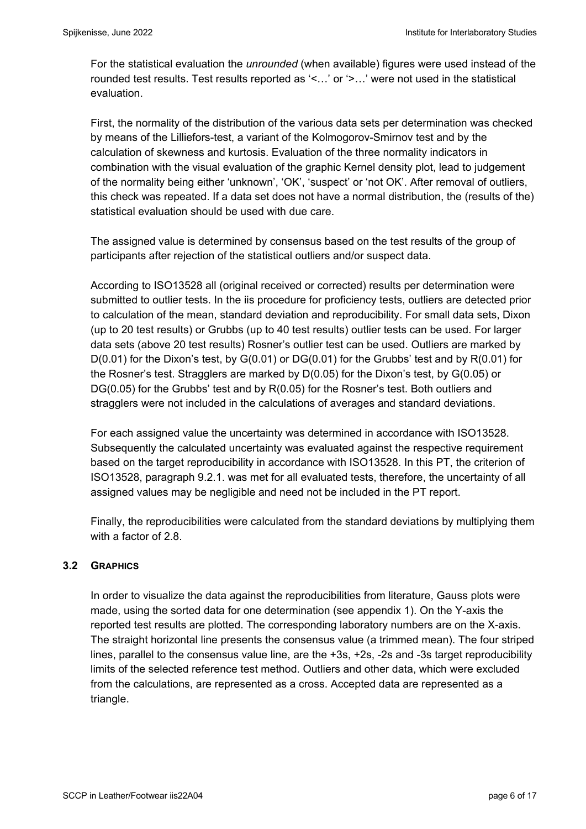For the statistical evaluation the *unrounded* (when available) figures were used instead of the rounded test results. Test results reported as '<…' or '>…' were not used in the statistical evaluation.

First, the normality of the distribution of the various data sets per determination was checked by means of the Lilliefors-test, a variant of the Kolmogorov-Smirnov test and by the calculation of skewness and kurtosis. Evaluation of the three normality indicators in combination with the visual evaluation of the graphic Kernel density plot, lead to judgement of the normality being either 'unknown', 'OK', 'suspect' or 'not OK'. After removal of outliers, this check was repeated. If a data set does not have a normal distribution, the (results of the) statistical evaluation should be used with due care.

The assigned value is determined by consensus based on the test results of the group of participants after rejection of the statistical outliers and/or suspect data.

According to ISO13528 all (original received or corrected) results per determination were submitted to outlier tests. In the iis procedure for proficiency tests, outliers are detected prior to calculation of the mean, standard deviation and reproducibility. For small data sets, Dixon (up to 20 test results) or Grubbs (up to 40 test results) outlier tests can be used. For larger data sets (above 20 test results) Rosner's outlier test can be used. Outliers are marked by D(0.01) for the Dixon's test, by G(0.01) or DG(0.01) for the Grubbs' test and by R(0.01) for the Rosner's test. Stragglers are marked by D(0.05) for the Dixon's test, by G(0.05) or DG(0.05) for the Grubbs' test and by R(0.05) for the Rosner's test. Both outliers and stragglers were not included in the calculations of averages and standard deviations.

For each assigned value the uncertainty was determined in accordance with ISO13528. Subsequently the calculated uncertainty was evaluated against the respective requirement based on the target reproducibility in accordance with ISO13528. In this PT, the criterion of ISO13528, paragraph 9.2.1. was met for all evaluated tests, therefore, the uncertainty of all assigned values may be negligible and need not be included in the PT report.

Finally, the reproducibilities were calculated from the standard deviations by multiplying them with a factor of 2.8

## **3.2 GRAPHICS**

In order to visualize the data against the reproducibilities from literature, Gauss plots were made, using the sorted data for one determination (see appendix 1). On the Y-axis the reported test results are plotted. The corresponding laboratory numbers are on the X-axis. The straight horizontal line presents the consensus value (a trimmed mean). The four striped lines, parallel to the consensus value line, are the +3s, +2s, -2s and -3s target reproducibility limits of the selected reference test method. Outliers and other data, which were excluded from the calculations, are represented as a cross. Accepted data are represented as a triangle.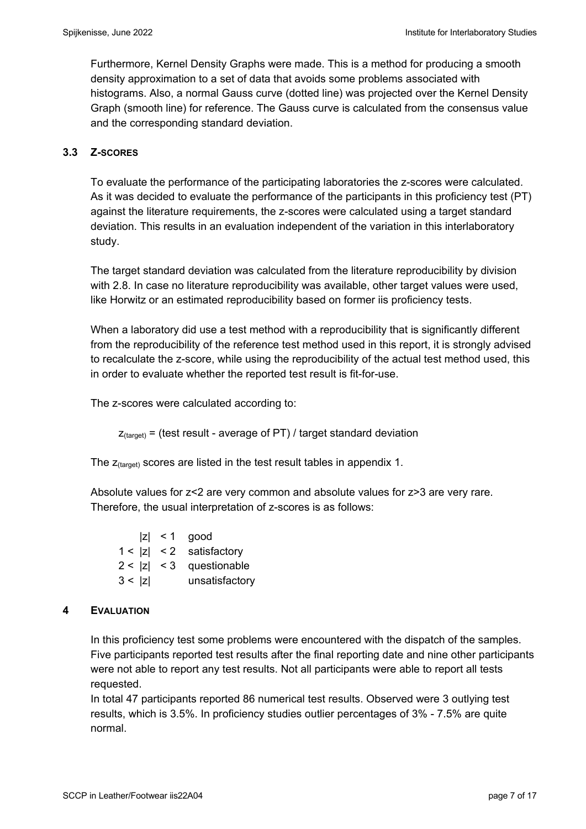Furthermore, Kernel Density Graphs were made. This is a method for producing a smooth density approximation to a set of data that avoids some problems associated with histograms. Also, a normal Gauss curve (dotted line) was projected over the Kernel Density Graph (smooth line) for reference. The Gauss curve is calculated from the consensus value and the corresponding standard deviation.

## **3.3 Z-SCORES**

To evaluate the performance of the participating laboratories the z-scores were calculated. As it was decided to evaluate the performance of the participants in this proficiency test (PT) against the literature requirements, the z-scores were calculated using a target standard deviation. This results in an evaluation independent of the variation in this interlaboratory study.

The target standard deviation was calculated from the literature reproducibility by division with 2.8. In case no literature reproducibility was available, other target values were used, like Horwitz or an estimated reproducibility based on former iis proficiency tests.

When a laboratory did use a test method with a reproducibility that is significantly different from the reproducibility of the reference test method used in this report, it is strongly advised to recalculate the z-score, while using the reproducibility of the actual test method used, this in order to evaluate whether the reported test result is fit-for-use.

The z-scores were calculated according to:

 $Z_{\text{target}}$  = (test result - average of PT) / target standard deviation

The  $z_{\text{(target)}}$  scores are listed in the test result tables in appendix 1.

Absolute values for z<2 are very common and absolute values for z>3 are very rare. Therefore, the usual interpretation of z-scores is as follows:

 $|z|$  < 1 good  $1 < |z| < 2$  satisfactory  $2 < |z| < 3$  questionable 3 < |z| unsatisfactory

## **4 EVALUATION**

In this proficiency test some problems were encountered with the dispatch of the samples. Five participants reported test results after the final reporting date and nine other participants were not able to report any test results. Not all participants were able to report all tests requested.

In total 47 participants reported 86 numerical test results. Observed were 3 outlying test results, which is 3.5%. In proficiency studies outlier percentages of 3% - 7.5% are quite normal.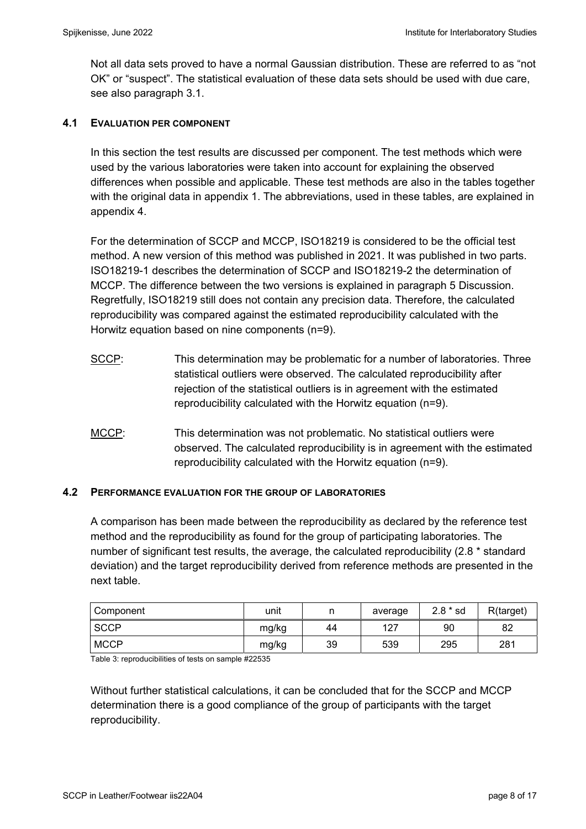Not all data sets proved to have a normal Gaussian distribution. These are referred to as "not OK" or "suspect". The statistical evaluation of these data sets should be used with due care, see also paragraph 3.1.

## **4.1 EVALUATION PER COMPONENT**

In this section the test results are discussed per component. The test methods which were used by the various laboratories were taken into account for explaining the observed differences when possible and applicable. These test methods are also in the tables together with the original data in appendix 1. The abbreviations, used in these tables, are explained in appendix 4.

For the determination of SCCP and MCCP, ISO18219 is considered to be the official test method. A new version of this method was published in 2021. It was published in two parts. ISO18219-1 describes the determination of SCCP and ISO18219-2 the determination of MCCP. The difference between the two versions is explained in paragraph 5 Discussion. Regretfully, ISO18219 still does not contain any precision data. Therefore, the calculated reproducibility was compared against the estimated reproducibility calculated with the Horwitz equation based on nine components (n=9).

- SCCP: This determination may be problematic for a number of laboratories. Three statistical outliers were observed. The calculated reproducibility after rejection of the statistical outliers is in agreement with the estimated reproducibility calculated with the Horwitz equation (n=9).
- MCCP: This determination was not problematic. No statistical outliers were observed. The calculated reproducibility is in agreement with the estimated reproducibility calculated with the Horwitz equation (n=9).

## **4.2 PERFORMANCE EVALUATION FOR THE GROUP OF LABORATORIES**

A comparison has been made between the reproducibility as declared by the reference test method and the reproducibility as found for the group of participating laboratories. The number of significant test results, the average, the calculated reproducibility (2.8 \* standard deviation) and the target reproducibility derived from reference methods are presented in the next table.

| Component   | unit  |    | average | $2.8 * sd$ | R(target) |
|-------------|-------|----|---------|------------|-----------|
| <b>SCCP</b> | mg/kg | 44 | 127     | 90         | 82        |
| <b>MCCP</b> | mg/kg | 39 | 539     | 295        | 281       |

Table 3: reproducibilities of tests on sample #22535

Without further statistical calculations, it can be concluded that for the SCCP and MCCP determination there is a good compliance of the group of participants with the target reproducibility.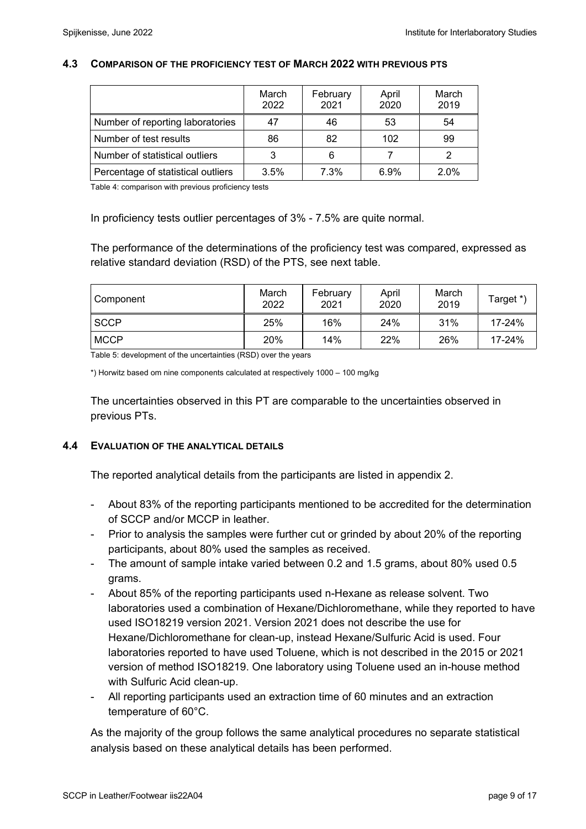#### **4.3 COMPARISON OF THE PROFICIENCY TEST OF MARCH 2022 WITH PREVIOUS PTS**

|                                    | March<br>2022 | February<br>2021 | April<br>2020 | March<br>2019 |
|------------------------------------|---------------|------------------|---------------|---------------|
| Number of reporting laboratories   |               | 46               | 53            | 54            |
| Number of test results             | 86            | 82               | 102           | 99            |
| Number of statistical outliers     |               | 6                |               |               |
| Percentage of statistical outliers | 3.5%          | 7.3%             | 6.9%          | 2.0%          |

Table 4: comparison with previous proficiency tests

In proficiency tests outlier percentages of 3% - 7.5% are quite normal.

The performance of the determinations of the proficiency test was compared, expressed as relative standard deviation (RSD) of the PTS, see next table.

| Component   | March<br>2022 | February<br>2021 | April<br>2020 | March<br>2019 | Target *) |
|-------------|---------------|------------------|---------------|---------------|-----------|
| <b>SCCP</b> | 25%           | 16%              | 24%           | 31%           | 17-24%    |
| <b>MCCP</b> | 20%           | 14%              | 22%           | 26%           | 17-24%    |

Table 5: development of the uncertainties (RSD) over the years

\*) Horwitz based om nine components calculated at respectively 1000 – 100 mg/kg

The uncertainties observed in this PT are comparable to the uncertainties observed in previous PTs.

## **4.4 EVALUATION OF THE ANALYTICAL DETAILS**

The reported analytical details from the participants are listed in appendix 2.

- About 83% of the reporting participants mentioned to be accredited for the determination of SCCP and/or MCCP in leather.
- Prior to analysis the samples were further cut or grinded by about 20% of the reporting participants, about 80% used the samples as received.
- The amount of sample intake varied between 0.2 and 1.5 grams, about 80% used 0.5 grams.
- About 85% of the reporting participants used n-Hexane as release solvent. Two laboratories used a combination of Hexane/Dichloromethane, while they reported to have used ISO18219 version 2021. Version 2021 does not describe the use for Hexane/Dichloromethane for clean-up, instead Hexane/Sulfuric Acid is used. Four laboratories reported to have used Toluene, which is not described in the 2015 or 2021 version of method ISO18219. One laboratory using Toluene used an in-house method with Sulfuric Acid clean-up.
- All reporting participants used an extraction time of 60 minutes and an extraction temperature of 60°C.

As the majority of the group follows the same analytical procedures no separate statistical analysis based on these analytical details has been performed.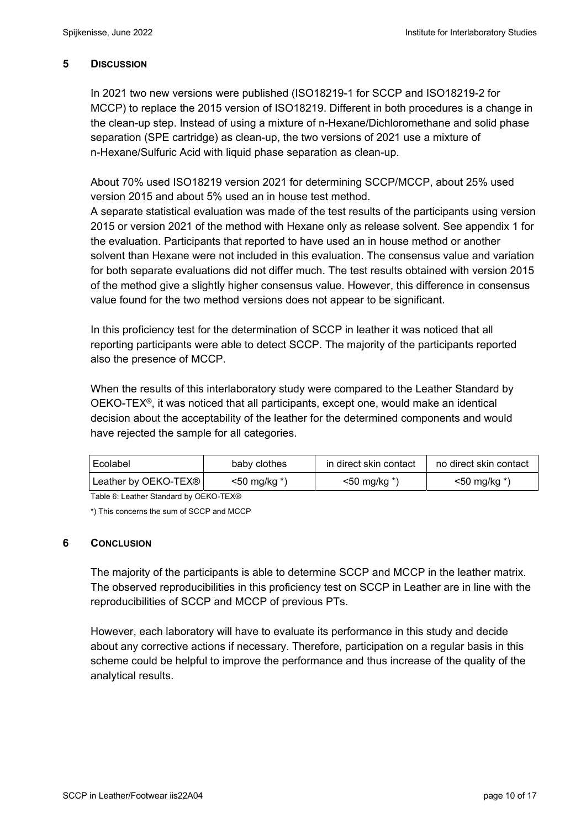## **5 DISCUSSION**

In 2021 two new versions were published (ISO18219-1 for SCCP and ISO18219-2 for MCCP) to replace the 2015 version of ISO18219. Different in both procedures is a change in the clean-up step. Instead of using a mixture of n-Hexane/Dichloromethane and solid phase separation (SPE cartridge) as clean-up, the two versions of 2021 use a mixture of n-Hexane/Sulfuric Acid with liquid phase separation as clean-up.

About 70% used ISO18219 version 2021 for determining SCCP/MCCP, about 25% used version 2015 and about 5% used an in house test method.

A separate statistical evaluation was made of the test results of the participants using version 2015 or version 2021 of the method with Hexane only as release solvent. See appendix 1 for the evaluation. Participants that reported to have used an in house method or another solvent than Hexane were not included in this evaluation. The consensus value and variation for both separate evaluations did not differ much. The test results obtained with version 2015 of the method give a slightly higher consensus value. However, this difference in consensus value found for the two method versions does not appear to be significant.

In this proficiency test for the determination of SCCP in leather it was noticed that all reporting participants were able to detect SCCP. The majority of the participants reported also the presence of MCCP.

When the results of this interlaboratory study were compared to the Leather Standard by OEKO-TEX®, it was noticed that all participants, except one, would make an identical decision about the acceptability of the leather for the determined components and would have rejected the sample for all categories.

| Ecolabel<br>baby clothes         |                 | in direct skin contact | no direct skin contact  |  |
|----------------------------------|-----------------|------------------------|-------------------------|--|
| Leather by OEKO-TEX <sup>®</sup> | $<$ 50 mg/kg *) | $<$ 50 mg/kg *)        | $50 \, \text{mg/kg}$ *) |  |

Table 6: Leather Standard by OEKO-TEX®

\*) This concerns the sum of SCCP and MCCP

## **6 CONCLUSION**

The majority of the participants is able to determine SCCP and MCCP in the leather matrix. The observed reproducibilities in this proficiency test on SCCP in Leather are in line with the reproducibilities of SCCP and MCCP of previous PTs.

However, each laboratory will have to evaluate its performance in this study and decide about any corrective actions if necessary. Therefore, participation on a regular basis in this scheme could be helpful to improve the performance and thus increase of the quality of the analytical results.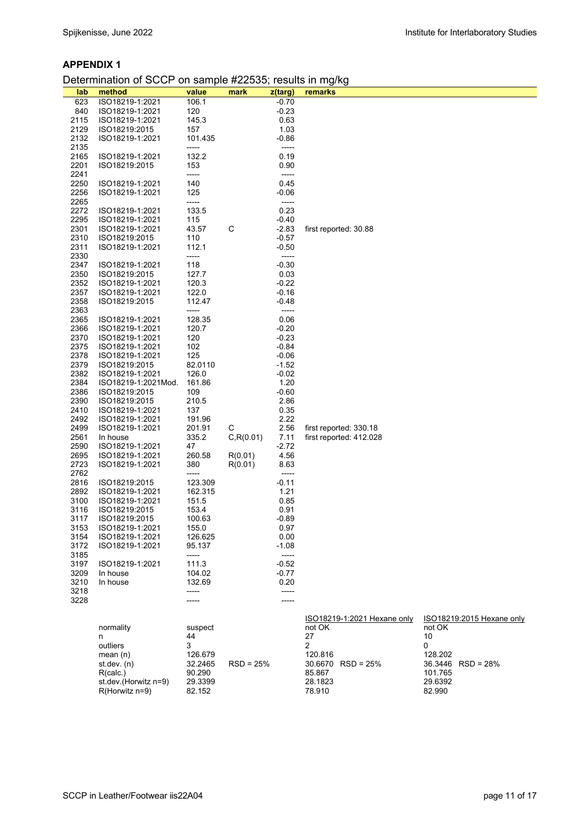#### **APPENDIX 1**

## Determination of SCCP on sample #22535; results in mg/kg

| lab          | method                                 | value             | mark        | z(targ)            | remarks                     |                           |
|--------------|----------------------------------------|-------------------|-------------|--------------------|-----------------------------|---------------------------|
| 623          | ISO18219-1:2021                        | 106.1             |             | $-0.70$            |                             |                           |
| 840          | ISO18219-1:2021                        | 120               |             | $-0.23$            |                             |                           |
| 2115         | ISO18219-1:2021                        | 145.3             |             | 0.63               |                             |                           |
| 2129         | ISO18219:2015                          | 157               |             | 1.03               |                             |                           |
| 2132         | ISO18219-1:2021                        | 101.435           |             | $-0.86$            |                             |                           |
| 2135         |                                        | -----             |             | -----              |                             |                           |
| 2165         | ISO18219-1:2021                        | 132.2             |             | 0.19               |                             |                           |
| 2201         | ISO18219:2015                          | 153               |             | 0.90               |                             |                           |
| 2241         |                                        | -----             |             | -----              |                             |                           |
| 2250         | ISO18219-1:2021                        | 140               |             | 0.45               |                             |                           |
| 2256         | ISO18219-1:2021                        | 125               |             | $-0.06$            |                             |                           |
| 2265         |                                        | -----             |             | -----              |                             |                           |
| 2272         | ISO18219-1:2021                        | 133.5             |             | 0.23               |                             |                           |
| 2295<br>2301 | ISO18219-1:2021                        | 115               | C           | $-0.40$            |                             |                           |
| 2310         | ISO18219-1:2021<br>ISO18219:2015       | 43.57<br>110      |             | $-2.83$<br>$-0.57$ | first reported: 30.88       |                           |
| 2311         | ISO18219-1:2021                        | 112.1             |             | $-0.50$            |                             |                           |
| 2330         |                                        | -----             |             | -----              |                             |                           |
| 2347         | ISO18219-1:2021                        | 118               |             | $-0.30$            |                             |                           |
| 2350         | ISO18219:2015                          | 127.7             |             | 0.03               |                             |                           |
| 2352         | ISO18219-1:2021                        | 120.3             |             | $-0.22$            |                             |                           |
| 2357         | ISO18219-1:2021                        | 122.0             |             | $-0.16$            |                             |                           |
| 2358         | ISO18219:2015                          | 112.47            |             | $-0.48$            |                             |                           |
| 2363         |                                        | -----             |             | -----              |                             |                           |
| 2365         | ISO18219-1:2021                        | 128.35            |             | 0.06               |                             |                           |
| 2366         | ISO18219-1:2021                        | 120.7             |             | $-0.20$            |                             |                           |
| 2370         | ISO18219-1:2021                        | 120               |             | $-0.23$            |                             |                           |
| 2375         | ISO18219-1:2021                        | 102               |             | $-0.84$            |                             |                           |
| 2378         | ISO18219-1:2021                        | 125               |             | $-0.06$            |                             |                           |
| 2379         | ISO18219:2015                          | 82.0110           |             | $-1.52$            |                             |                           |
| 2382         | ISO18219-1:2021                        | 126.0             |             | $-0.02$            |                             |                           |
| 2384         | ISO18219-1:2021Mod.                    | 161.86            |             | 1.20               |                             |                           |
| 2386         | ISO18219:2015                          | 109               |             | $-0.60$            |                             |                           |
| 2390         | ISO18219:2015                          | 210.5             |             | 2.86               |                             |                           |
| 2410         | ISO18219-1:2021                        | 137               |             | 0.35               |                             |                           |
| 2492         | ISO18219-1:2021                        | 191.96            |             | 2.22               |                             |                           |
| 2499         | ISO18219-1:2021                        | 201.91            | С           | 2.56               | first reported: 330.18      |                           |
| 2561         | In house                               | 335.2             | C, R(0.01)  | 7.11               | first reported: 412.028     |                           |
| 2590         | ISO18219-1:2021                        | 47                |             | $-2.72$            |                             |                           |
| 2695         | ISO18219-1:2021                        | 260.58            | R(0.01)     | 4.56               |                             |                           |
| 2723         | ISO18219-1:2021                        | 380               | R(0.01)     | 8.63               |                             |                           |
| 2762         |                                        | -----             |             | -----              |                             |                           |
| 2816<br>2892 | ISO18219:2015                          | 123.309           |             | $-0.11$<br>1.21    |                             |                           |
| 3100         | ISO18219-1:2021                        | 162.315           |             | 0.85               |                             |                           |
|              | ISO18219-1:2021                        | 151.5             |             |                    |                             |                           |
| 3116<br>3117 | ISO18219:2015<br>ISO18219:2015         | 153.4<br>100.63   |             | 0.91<br>$-0.89$    |                             |                           |
| 3153         | ISO18219-1:2021                        | 155.0             |             | 0.97               |                             |                           |
| 3154         | ISO18219-1:2021                        | 126.625           |             | 0.00               |                             |                           |
| 3172         | ISO18219-1:2021                        | 95.137            |             | $-1.08$            |                             |                           |
| 3185         |                                        | -----             |             | -----              |                             |                           |
| 3197         | ISO18219-1:2021                        | 111.3             |             | $-0.52$            |                             |                           |
| 3209         | In house                               | 104.02            |             | $-0.77$            |                             |                           |
| 3210         | In house                               | 132.69            |             | 0.20               |                             |                           |
| 3218         |                                        | -----             |             | -----              |                             |                           |
| 3228         |                                        | -----             |             | -----              |                             |                           |
|              |                                        |                   |             |                    |                             |                           |
|              |                                        |                   |             |                    | ISO18219-1:2021 Hexane only | ISO18219:2015 Hexane only |
|              | normality                              | suspect           |             |                    | not OK                      | not OK                    |
|              | n                                      | 44                |             |                    | 27                          | 10                        |
|              | outliers                               | 3                 |             |                    | 2                           | 0                         |
|              | mean $(n)$                             | 126.679           |             |                    | 120.816                     | 128.202                   |
|              | st.dev. (n)                            | 32.2465           | $RSD = 25%$ |                    | $30.6670$ RSD = 25%         | $36.3446$ RSD = 28%       |
|              | R(calc.)                               | 90.290            |             |                    | 85.867                      | 101.765                   |
|              | st.dev.(Horwitz n=9)<br>R(Horwitz n=9) | 29.3399<br>82.152 |             |                    | 28.1823<br>78.910           | 29.6392<br>82.990         |
|              |                                        |                   |             |                    |                             |                           |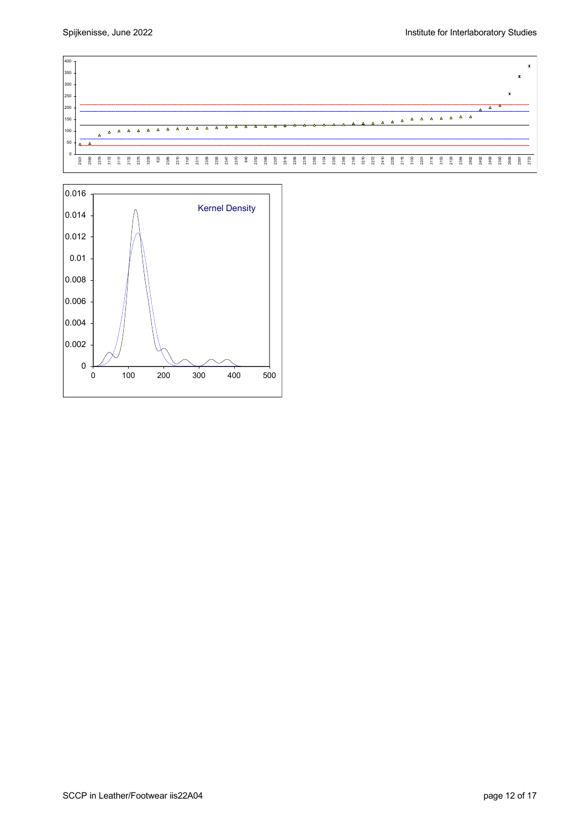

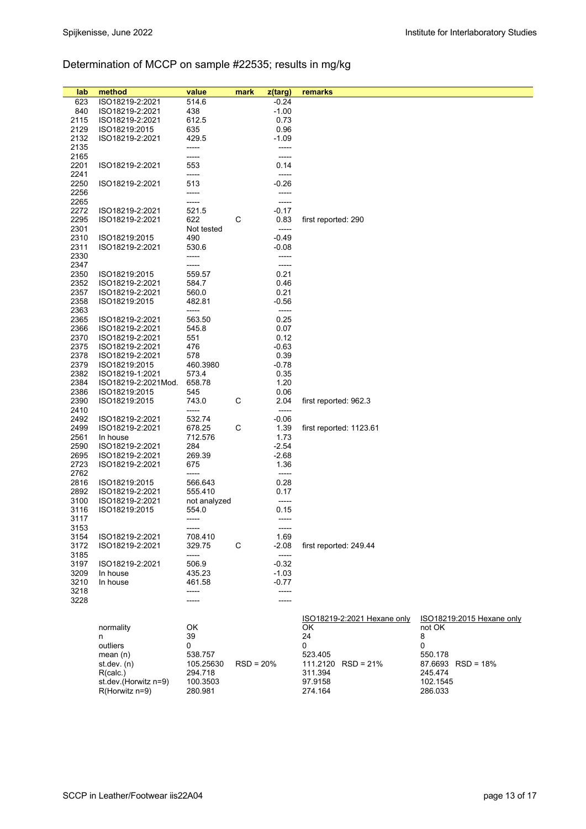# Determination of MCCP on sample #22535; results in mg/kg

| lab          | method               | value           | mark        | z(targ)         | remarks                     |                                  |
|--------------|----------------------|-----------------|-------------|-----------------|-----------------------------|----------------------------------|
| 623          | ISO18219-2:2021      | 514.6           |             | $-0.24$         |                             |                                  |
| 840          | ISO18219-2:2021      | 438             |             | $-1.00$         |                             |                                  |
| 2115         | ISO18219-2:2021      | 612.5           |             | 0.73            |                             |                                  |
| 2129         | ISO18219:2015        | 635             |             | 0.96            |                             |                                  |
| 2132         | ISO18219-2:2021      | 429.5           |             | $-1.09$         |                             |                                  |
| 2135         |                      | -----           |             | -----           |                             |                                  |
| 2165         |                      | -----           |             | -----           |                             |                                  |
| 2201         | ISO18219-2:2021      | 553             |             | 0.14            |                             |                                  |
| 2241         |                      | -----           |             | -----           |                             |                                  |
| 2250         | ISO18219-2:2021      | 513             |             | $-0.26$         |                             |                                  |
| 2256         |                      | -----           |             | -----           |                             |                                  |
| 2265         |                      | -----           |             | -----           |                             |                                  |
| 2272         | ISO18219-2:2021      | 521.5           |             | $-0.17$         |                             |                                  |
| 2295         | ISO18219-2:2021      | 622             | C           | 0.83            | first reported: 290         |                                  |
| 2301         |                      | Not tested      |             | -----           |                             |                                  |
| 2310         | ISO18219:2015        | 490             |             | $-0.49$         |                             |                                  |
| 2311         | ISO18219-2:2021      | 530.6           |             | $-0.08$         |                             |                                  |
| 2330         |                      | -----           |             | -----           |                             |                                  |
| 2347         |                      | -----           |             | -----           |                             |                                  |
| 2350         | ISO18219:2015        | 559.57          |             | 0.21            |                             |                                  |
| 2352         | ISO18219-2:2021      | 584.7           |             | 0.46            |                             |                                  |
| 2357         |                      |                 |             | 0.21            |                             |                                  |
| 2358         | ISO18219-2:2021      | 560.0<br>482.81 |             | $-0.56$         |                             |                                  |
|              | ISO18219:2015        |                 |             |                 |                             |                                  |
| 2363<br>2365 |                      | -----<br>563.50 |             | -----<br>0.25   |                             |                                  |
|              | ISO18219-2:2021      |                 |             |                 |                             |                                  |
| 2366         | ISO18219-2:2021      | 545.8           |             | 0.07            |                             |                                  |
| 2370         | ISO18219-2:2021      | 551             |             | 0.12            |                             |                                  |
| 2375<br>2378 | ISO18219-2:2021      | 476             |             | $-0.63$         |                             |                                  |
| 2379         | ISO18219-2:2021      | 578<br>460.3980 |             | 0.39<br>$-0.78$ |                             |                                  |
| 2382         | ISO18219:2015        |                 |             |                 |                             |                                  |
| 2384         | ISO18219-1:2021      | 573.4<br>658.78 |             | 0.35<br>1.20    |                             |                                  |
|              | ISO18219-2:2021Mod.  |                 |             |                 |                             |                                  |
| 2386         | ISO18219:2015        | 545             |             | 0.06            |                             |                                  |
| 2390         | ISO18219:2015        | 743.0           | C           | 2.04<br>-----   | first reported: 962.3       |                                  |
| 2410<br>2492 | ISO18219-2:2021      | -----<br>532.74 |             | $-0.06$         |                             |                                  |
| 2499         | ISO18219-2:2021      | 678.25          | С           | 1.39            | first reported: 1123.61     |                                  |
| 2561         | In house             | 712.576         |             | 1.73            |                             |                                  |
| 2590         | ISO18219-2:2021      | 284             |             | $-2.54$         |                             |                                  |
| 2695         | ISO18219-2:2021      | 269.39          |             | $-2.68$         |                             |                                  |
| 2723         | ISO18219-2:2021      | 675             |             | 1.36            |                             |                                  |
| 2762         |                      | -----           |             | -----           |                             |                                  |
| 2816         | ISO18219:2015        | 566.643         |             | 0.28            |                             |                                  |
| 2892         | ISO18219-2:2021      | 555.410         |             | 0.17            |                             |                                  |
| 3100         | ISO18219-2:2021      | not analyzed    |             | -----           |                             |                                  |
| 3116         | ISO18219:2015        | 554.0           |             | 0.15            |                             |                                  |
| 3117         |                      | -----           |             | -----           |                             |                                  |
| 3153         |                      | -----           |             | -----           |                             |                                  |
| 3154         | ISO18219-2:2021      | 708.410         |             | 1.69            |                             |                                  |
| 3172         | ISO18219-2:2021      | 329.75          | С           | $-2.08$         | first reported: 249.44      |                                  |
| 3185         |                      | -----           |             | -----           |                             |                                  |
| 3197         | ISO18219-2:2021      | 506.9           |             | $-0.32$         |                             |                                  |
| 3209         | In house             | 435.23          |             | $-1.03$         |                             |                                  |
| 3210         | In house             | 461.58          |             | $-0.77$         |                             |                                  |
| 3218         |                      | -----           |             | -----           |                             |                                  |
| 3228         |                      | -----           |             | -----           |                             |                                  |
|              |                      |                 |             |                 |                             |                                  |
|              |                      |                 |             |                 | ISO18219-2:2021 Hexane only | <b>ISO18219:2015 Hexane only</b> |
|              | normality            | OK              |             |                 | OK                          | not OK                           |
|              | n                    | 39              |             |                 | 24                          | 8                                |
|              | outliers             | 0               |             |                 | 0                           | 0                                |
|              | mean $(n)$           | 538.757         |             |                 | 523.405                     | 550.178                          |
|              | st.dev. $(n)$        | 105.25630       | $RSD = 20%$ |                 | 111.2120 RSD = 21%          | 87.6693 RSD = 18%                |
|              | R(calc.)             | 294.718         |             |                 | 311.394                     | 245.474                          |
|              | st.dev.(Horwitz n=9) | 100.3503        |             |                 | 97.9158                     | 102.1545                         |
|              | R(Horwitz n=9)       | 280.981         |             |                 | 274.164                     | 286.033                          |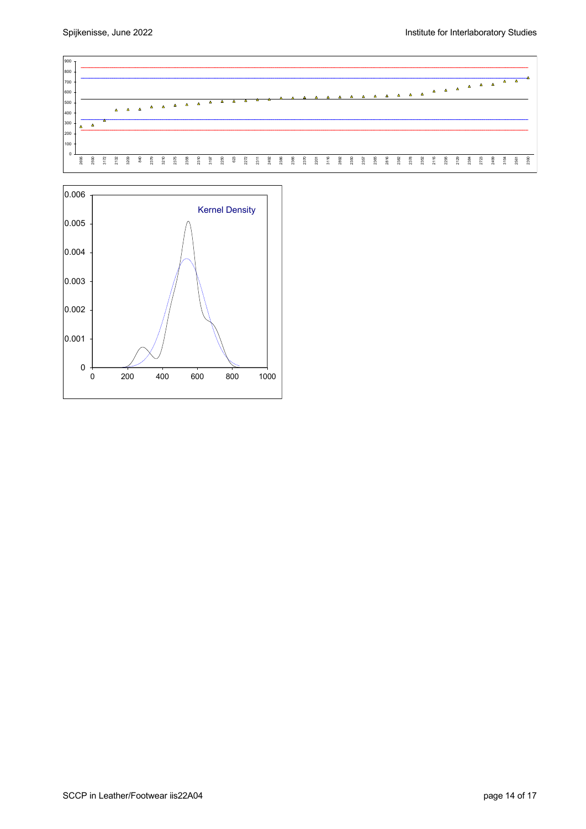

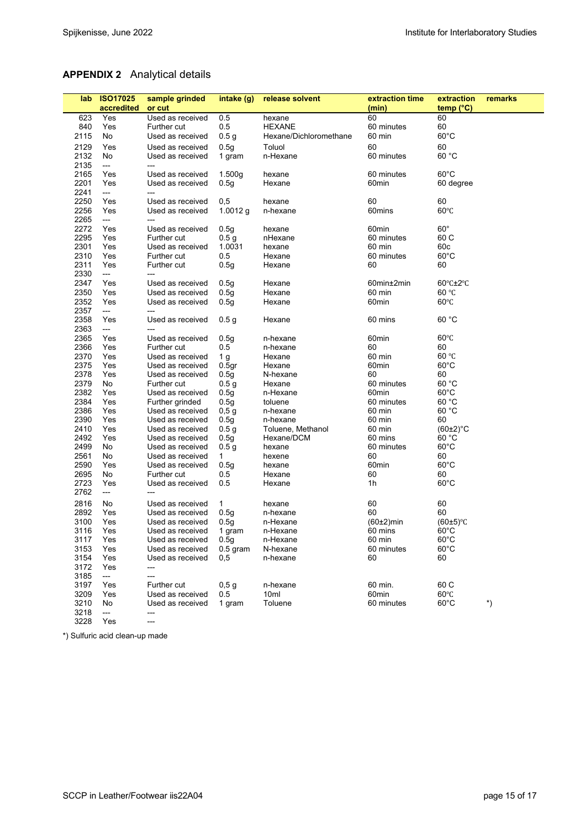# **APPENDIX 2** Analytical details

| lab  | <b>ISO17025</b>        | sample grinded                       | intake(g)                  | release solvent        | extraction time   | extraction                      | remarks    |
|------|------------------------|--------------------------------------|----------------------------|------------------------|-------------------|---------------------------------|------------|
|      | accredited             | or cut                               |                            |                        | (min)             | temp (°C)                       |            |
| 623  | Yes                    | Used as received                     | 0.5                        | hexane                 | 60                | 60                              |            |
| 840  | Yes                    | Further cut                          | 0.5                        | <b>HEXANE</b>          | 60 minutes        | 60                              |            |
| 2115 | No                     | Used as received                     | 0.5 <sub>g</sub>           | Hexane/Dichloromethane | 60 min            | $60^{\circ}$ C                  |            |
| 2129 | Yes                    | Used as received                     | 0.5 <sub>g</sub>           | Toluol                 | 60                | 60                              |            |
| 2132 | No                     | Used as received                     | 1 gram                     | n-Hexane               | 60 minutes        | 60 °C                           |            |
| 2135 | ---                    | ---                                  |                            |                        |                   |                                 |            |
| 2165 | Yes                    | Used as received                     | 1.500g                     | hexane                 | 60 minutes        | $60^{\circ}$ C                  |            |
| 2201 | Yes                    | Used as received                     | 0.5g                       | Hexane                 | 60 <sub>min</sub> | 60 degree                       |            |
| 2241 | $\qquad \qquad \cdots$ | ---                                  |                            |                        |                   |                                 |            |
| 2250 | Yes                    | Used as received                     | 0,5                        | hexane                 | 60                | 60                              |            |
| 2256 | Yes                    | Used as received                     | $1.0012$ g                 | n-hexane               | 60mins            | $60^{\circ}$ C                  |            |
| 2265 | ---                    | ---                                  |                            |                        |                   |                                 |            |
| 2272 | Yes                    | Used as received                     | 0.5q                       | hexane                 | 60 <sub>min</sub> | $60^\circ$                      |            |
| 2295 | Yes                    | Further cut                          | 0.5 <sub>g</sub>           | nHexane                | 60 minutes        | 60 C                            |            |
| 2301 | Yes                    | Used as received                     | 1.0031                     | hexane                 | 60 min            | 60c                             |            |
| 2310 | Yes                    | Further cut                          | 0.5                        | Hexane                 | 60 minutes        | $60^{\circ}$ C                  |            |
| 2311 | Yes                    | Further cut                          | 0.5g                       | Hexane                 | 60                | 60                              |            |
| 2330 | $\qquad \qquad \cdots$ | ---                                  |                            |                        |                   |                                 |            |
| 2347 | Yes                    | Used as received                     | 0.5 <sub>g</sub>           | Hexane                 | 60min±2min        | $60^\circ$ C $\pm$ 2 $^\circ$ C |            |
| 2350 | Yes                    | Used as received                     | 0.5g                       | Hexane                 | 60 min            | 60 °C                           |            |
| 2352 | Yes                    | Used as received                     | 0.5g                       | Hexane                 | 60 <sub>min</sub> | $60^{\circ}$ C                  |            |
| 2357 | ---                    | ---                                  |                            |                        |                   |                                 |            |
| 2358 | Yes                    | Used as received                     | 0.5 <sub>g</sub>           | Hexane                 | 60 mins           | 60 °C                           |            |
| 2363 | ---                    | ---                                  |                            |                        |                   |                                 |            |
| 2365 | Yes                    | Used as received                     | 0.5q                       | n-hexane               | 60 <sub>min</sub> | $60^{\circ}$ C                  |            |
| 2366 | Yes                    | Further cut                          | 0.5                        | n-hexane               | 60                | 60                              |            |
| 2370 | Yes                    | Used as received                     | 1 g                        | Hexane                 | 60 min            | 60 °C                           |            |
| 2375 | Yes                    | Used as received                     | 0.5 <sub>gr</sub>          | Hexane                 | 60 <sub>min</sub> | $60^{\circ}$ C                  |            |
| 2378 | Yes                    | Used as received                     | 0.5q                       | N-hexane               | 60                | 60                              |            |
| 2379 | No                     | Further cut                          | 0.5 <sub>g</sub>           | Hexane                 | 60 minutes        | 60 °C                           |            |
| 2382 | Yes                    | Used as received                     | 0.5g                       | n-Hexane               | 60 <sub>min</sub> | $60^{\circ}$ C                  |            |
| 2384 | Yes                    | Further grinded                      | 0.5g                       | toluene                | 60 minutes        | 60 °C                           |            |
| 2386 | Yes                    | Used as received                     | 0,5g                       | n-hexane               | 60 min            | 60 °C                           |            |
| 2390 | Yes                    | Used as received                     | 0.5g                       | n-hexane               | 60 min            | 60                              |            |
| 2410 | Yes                    | Used as received                     | 0.5 <sub>g</sub>           | Toluene, Methanol      | 60 min            | $(60\pm2)$ °C                   |            |
| 2492 | Yes                    | Used as received                     | 0.5g                       | Hexane/DCM             | 60 mins           | 60 °C                           |            |
| 2499 | No                     | Used as received                     | 0.5 <sub>g</sub>           | hexane                 | 60 minutes        | $60^{\circ}$ C                  |            |
| 2561 | No                     | Used as received                     | 1                          | hexene                 | 60                | 60                              |            |
| 2590 | Yes                    | Used as received                     | 0.5 <sub>g</sub>           | hexane                 | 60 <sub>min</sub> | $60^{\circ}$ C                  |            |
| 2695 | No                     | Further cut                          | 0.5                        | Hexane                 | 60                | 60                              |            |
| 2723 | Yes                    | Used as received                     | 0.5                        | Hexane                 | 1h                | $60^{\circ}$ C                  |            |
| 2762 | ---                    | ---                                  |                            |                        |                   |                                 |            |
| 2816 | No                     | Used as received                     | $\mathbf{1}$               | hexane                 | 60                | 60                              |            |
| 2892 | Yes                    | Used as received                     | 0.5 <sub>g</sub>           | n-hexane               | 60                | 60                              |            |
| 3100 | Yes                    | Used as received                     | 0.5 <sub>g</sub>           | n-Hexane               | $(60±2)$ min      | $(60±5)$ °C                     |            |
| 3116 | Yes                    |                                      |                            |                        | 60 mins           | $60^{\circ}$ C                  |            |
| 3117 | Yes                    | Used as received<br>Used as received | 1 gram<br>0.5 <sub>g</sub> | n-Hexane<br>n-Hexane   | 60 min            | $60^{\circ}$ C                  |            |
| 3153 | Yes                    | Used as received                     | $0.5$ gram                 | N-hexane               | 60 minutes        | $60^{\circ}$ C                  |            |
| 3154 | Yes                    | Used as received                     | 0,5                        | n-hexane               | 60                | 60                              |            |
| 3172 | Yes                    | ---                                  |                            |                        |                   |                                 |            |
| 3185 | ---                    | ---                                  |                            |                        |                   |                                 |            |
| 3197 | Yes                    | Further cut                          | 0,5g                       | n-hexane               | 60 min.           | 60 C                            |            |
| 3209 | Yes                    | Used as received                     | 0.5                        | 10 <sub>ml</sub>       | 60 <sub>min</sub> | $60^{\circ}$ C                  |            |
| 3210 | No                     | Used as received                     | 1 gram                     | Toluene                | 60 minutes        | $60^{\circ}$ C                  | $^{\ast})$ |
| 3218 | ---                    | ---                                  |                            |                        |                   |                                 |            |
| 3228 | Yes                    | ---                                  |                            |                        |                   |                                 |            |
|      |                        |                                      |                            |                        |                   |                                 |            |

\*) Sulfuric acid clean-up made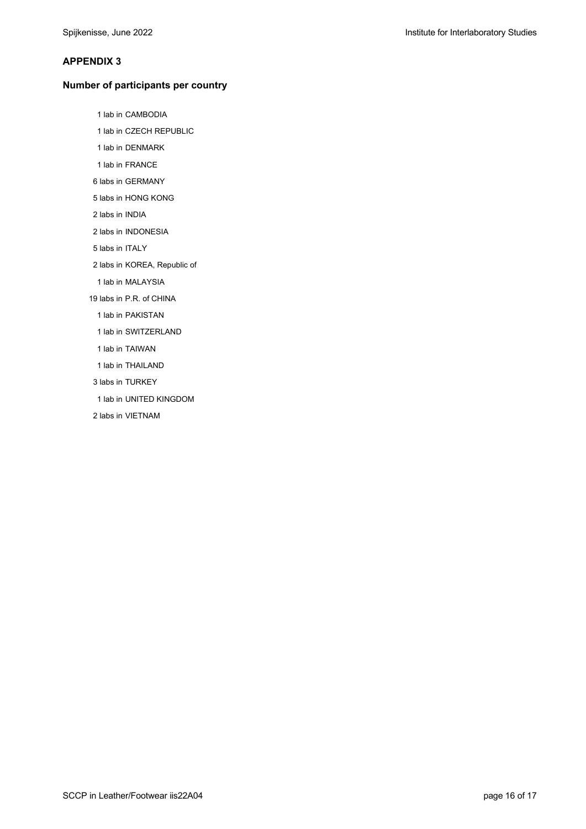#### **APPENDIX 3**

#### **Number of participants per country**

1 lab in CAMBODIA

- 1 lab in CZECH REPUBLIC
- 1 lab in DENMARK
- 1 lab in FRANCE
- 6 labs in GERMANY
- 5 labs in HONG KONG
- 2 labs in INDIA
- 2 labs in INDONESIA
- 5 labs in ITALY
- 2 labs in KOREA, Republic of
- 1 lab in MALAYSIA
- 19 labs in P.R. of CHINA
	- 1 lab in PAKISTAN
	- 1 lab in SWITZERLAND
	- 1 lab in TAIWAN
	- 1 lab in THAILAND
- 3 labs in TURKEY
- 1 lab in UNITED KINGDOM
- 2 labs in VIETNAM